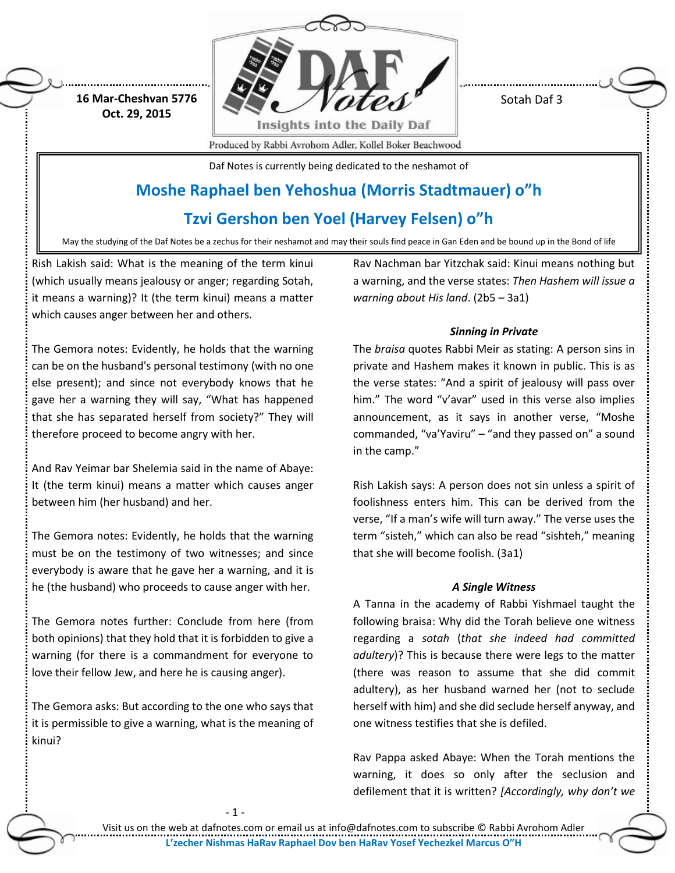

Sotah Daf 3

**16 Mar-Cheshvan 5776 Oct. 29, 2015**

Produced by Rabbi Avrohom Adler, Kollel Boker Beachwood

Daf Notes is currently being dedicated to the neshamot of

# **Moshe Raphael ben Yehoshua (Morris Stadtmauer) o"h**

## **Tzvi Gershon ben Yoel (Harvey Felsen) o"h**

May the studying of the Daf Notes be a zechus for their neshamot and may their souls find peace in Gan Eden and be bound up in the Bond of life

Rish Lakish said: What is the meaning of the term kinui (which usually means jealousy or anger; regarding Sotah, it means a warning)? It (the term kinui) means a matter which causes anger between her and others.

Rav Nachman bar Yitzchak said: Kinui means nothing but a warning, and the verse states: *Then Hashem will issue a warning about His land*. (2b5 – 3a1)

### *Sinning in Private*

The Gemora notes: Evidently, he holds that the warning can be on the husband's personal testimony (with no one else present); and since not everybody knows that he gave her a warning they will say, "What has happened that she has separated herself from society?" They will therefore proceed to become angry with her.

And Rav Yeimar bar Shelemia said in the name of Abaye: It (the term kinui) means a matter which causes anger between him (her husband) and her.

The Gemora notes: Evidently, he holds that the warning must be on the testimony of two witnesses; and since everybody is aware that he gave her a warning, and it is he (the husband) who proceeds to cause anger with her.

The Gemora notes further: Conclude from here (from both opinions) that they hold that it is forbidden to give a warning (for there is a commandment for everyone to love their fellow Jew, and here he is causing anger).

The Gemora asks: But according to the one who says that it is permissible to give a warning, what is the meaning of kinui?

- 1 -

The *braisa* quotes Rabbi Meir as stating: A person sins in private and Hashem makes it known in public. This is as the verse states: "And a spirit of jealousy will pass over him." The word "v'avar" used in this verse also implies announcement, as it says in another verse, "Moshe commanded, "va'Yaviru" – "and they passed on" a sound in the camp."

Rish Lakish says: A person does not sin unless a spirit of foolishness enters him. This can be derived from the verse, "If a man's wife will turn away." The verse uses the term "sisteh," which can also be read "sishteh," meaning that she will become foolish. (3a1)

### *A Single Witness*

A Tanna in the academy of Rabbi Yishmael taught the following braisa: Why did the Torah believe one witness regarding a *sotah* (*that she indeed had committed adultery*)? This is because there were legs to the matter (there was reason to assume that she did commit adultery), as her husband warned her (not to seclude herself with him) and she did seclude herself anyway, and one witness testifies that she is defiled.

Rav Pappa asked Abaye: When the Torah mentions the warning, it does so only after the seclusion and defilement that it is written? *[Accordingly, why don't we* 

Visit us on the web at dafnotes.com or email us a[t info@dafnotes.com](mailto:info@dafnotes.com) to subscribe © Rabbi Avrohom Adler **L'zecher Nishmas HaRav Raphael Dov ben HaRav Yosef Yechezkel Marcus O"H**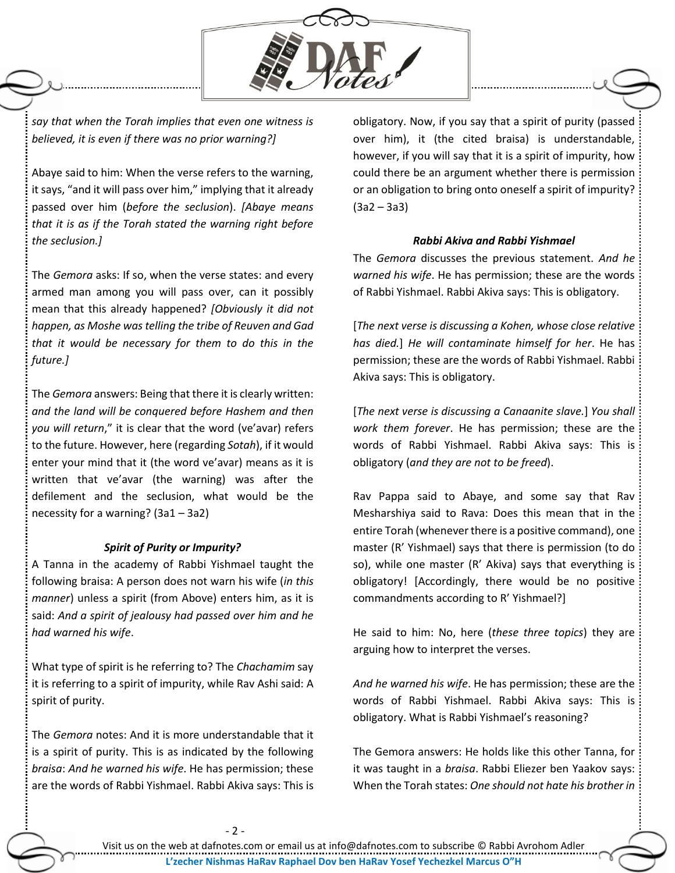

*say that when the Torah implies that even one witness is believed, it is even if there was no prior warning?]*

Abaye said to him: When the verse refers to the warning, it says, "and it will pass over him," implying that it already passed over him (*before the seclusion*). *[Abaye means that it is as if the Torah stated the warning right before the seclusion.]*

The *Gemora* asks: If so, when the verse states: and every armed man among you will pass over, can it possibly mean that this already happened? *[Obviously it did not happen, as Moshe was telling the tribe of Reuven and Gad that it would be necessary for them to do this in the future.]*

The *Gemora* answers: Being that there it is clearly written: *and the land will be conquered before Hashem and then you will return*," it is clear that the word (ve'avar) refers to the future. However, here (regarding *Sotah*), if it would enter your mind that it (the word ve'avar) means as it is written that ve'avar (the warning) was after the defilement and the seclusion, what would be the necessity for a warning? (3a1 – 3a2)

#### *Spirit of Purity or Impurity?*

A Tanna in the academy of Rabbi Yishmael taught the following braisa: A person does not warn his wife (*in this manner*) unless a spirit (from Above) enters him, as it is said: *And a spirit of jealousy had passed over him and he had warned his wife*.

What type of spirit is he referring to? The *Chachamim* say it is referring to a spirit of impurity, while Rav Ashi said: A spirit of purity.

The *Gemora* notes: And it is more understandable that it is a spirit of purity. This is as indicated by the following *braisa*: *And he warned his wife*. He has permission; these are the words of Rabbi Yishmael. Rabbi Akiva says: This is

obligatory. Now, if you say that a spirit of purity (passed over him), it (the cited braisa) is understandable, however, if you will say that it is a spirit of impurity, how could there be an argument whether there is permission or an obligation to bring onto oneself a spirit of impurity? (3a2 – 3a3)

#### *Rabbi Akiva and Rabbi Yishmael*

The *Gemora* discusses the previous statement. *And he warned his wife*. He has permission; these are the words of Rabbi Yishmael. Rabbi Akiva says: This is obligatory.

[*The next verse is discussing a Kohen, whose close relative has died.*] *He will contaminate himself for her*. He has permission; these are the words of Rabbi Yishmael. Rabbi Akiva says: This is obligatory.

[*The next verse is discussing a Canaanite slave.*] *You shall work them forever*. He has permission; these are the words of Rabbi Yishmael. Rabbi Akiva says: This is obligatory (*and they are not to be freed*).

Rav Pappa said to Abaye, and some say that Rav Mesharshiya said to Rava: Does this mean that in the entire Torah (whenever there is a positive command), one master (R' Yishmael) says that there is permission (to do so), while one master (R' Akiva) says that everything is obligatory! [Accordingly, there would be no positive commandments according to R' Yishmael?]

He said to him: No, here (*these three topics*) they are arguing how to interpret the verses.

*And he warned his wife*. He has permission; these are the words of Rabbi Yishmael. Rabbi Akiva says: This is obligatory. What is Rabbi Yishmael's reasoning?

The Gemora answers: He holds like this other Tanna, for it was taught in a *braisa*. Rabbi Eliezer ben Yaakov says: When the Torah states: *One should not hate his brother in*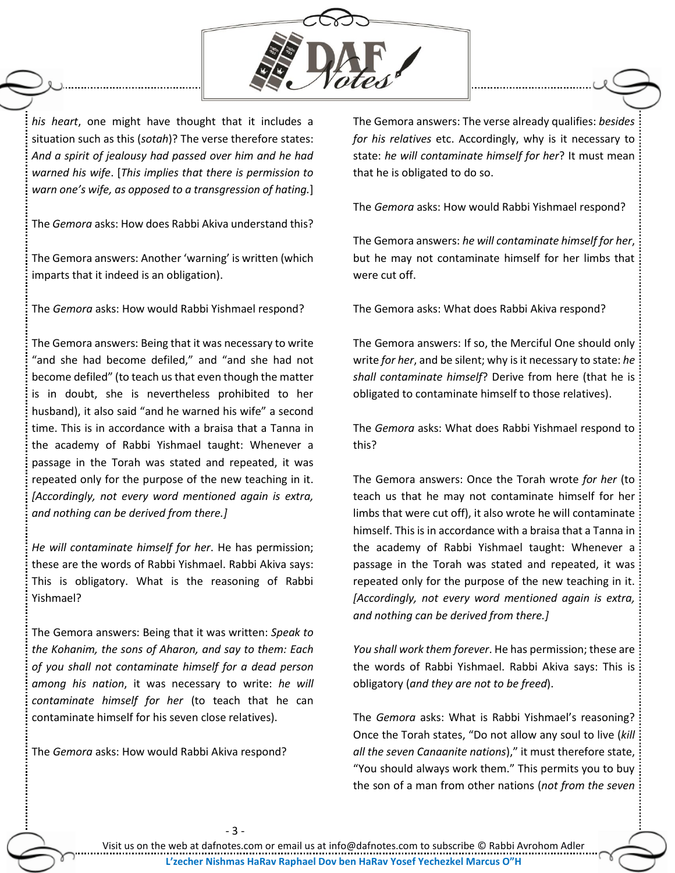

*his heart*, one might have thought that it includes a situation such as this (*sotah*)? The verse therefore states: *And a spirit of jealousy had passed over him and he had warned his wife*. [*This implies that there is permission to warn one's wife, as opposed to a transgression of hating.*]

The *Gemora* asks: How does Rabbi Akiva understand this?

The Gemora answers: Another 'warning' is written (which imparts that it indeed is an obligation).

The *Gemora* asks: How would Rabbi Yishmael respond?

The Gemora answers: Being that it was necessary to write "and she had become defiled," and "and she had not become defiled" (to teach us that even though the matter is in doubt, she is nevertheless prohibited to her husband), it also said "and he warned his wife" a second time. This is in accordance with a braisa that a Tanna in the academy of Rabbi Yishmael taught: Whenever a passage in the Torah was stated and repeated, it was repeated only for the purpose of the new teaching in it. *[Accordingly, not every word mentioned again is extra, and nothing can be derived from there.]*

*He will contaminate himself for her*. He has permission; these are the words of Rabbi Yishmael. Rabbi Akiva says: This is obligatory. What is the reasoning of Rabbi Yishmael?

The Gemora answers: Being that it was written: *Speak to the Kohanim, the sons of Aharon, and say to them: Each of you shall not contaminate himself for a dead person among his nation*, it was necessary to write: *he will contaminate himself for her* (to teach that he can contaminate himself for his seven close relatives).

The *Gemora* asks: How would Rabbi Akiva respond?

The Gemora answers: The verse already qualifies: *besides for his relatives* etc. Accordingly, why is it necessary to state: *he will contaminate himself for her*? It must mean that he is obligated to do so.

The *Gemora* asks: How would Rabbi Yishmael respond?

The Gemora answers: *he will contaminate himself for her*, but he may not contaminate himself for her limbs that were cut off.

The Gemora asks: What does Rabbi Akiva respond?

The Gemora answers: If so, the Merciful One should only write *for her*, and be silent; why is it necessary to state: *he shall contaminate himself*? Derive from here (that he is obligated to contaminate himself to those relatives).

The *Gemora* asks: What does Rabbi Yishmael respond to this?

The Gemora answers: Once the Torah wrote *for her* (to teach us that he may not contaminate himself for her limbs that were cut off), it also wrote he will contaminate himself. This is in accordance with a braisa that a Tanna in the academy of Rabbi Yishmael taught: Whenever a passage in the Torah was stated and repeated, it was repeated only for the purpose of the new teaching in it. *[Accordingly, not every word mentioned again is extra, and nothing can be derived from there.]*

*You shall work them forever*. He has permission; these are the words of Rabbi Yishmael. Rabbi Akiva says: This is obligatory (*and they are not to be freed*).

The *Gemora* asks: What is Rabbi Yishmael's reasoning? Once the Torah states, "Do not allow any soul to live (*kill all the seven Canaanite nations*)," it must therefore state, "You should always work them." This permits you to buy the son of a man from other nations (*not from the seven*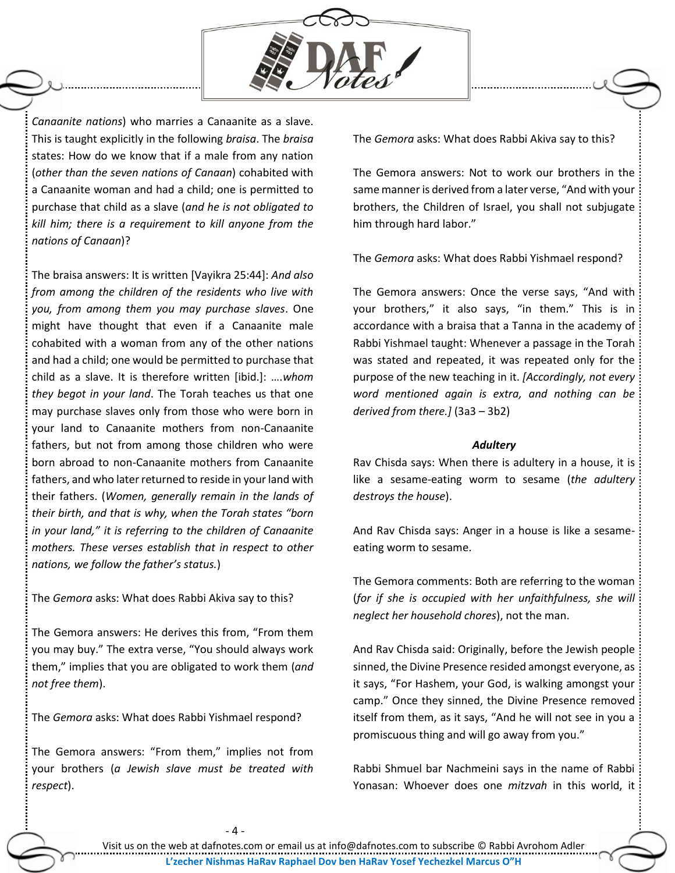

*Canaanite nations*) who marries a Canaanite as a slave. This is taught explicitly in the following *braisa*. The *braisa* states: How do we know that if a male from any nation (*other than the seven nations of Canaan*) cohabited with a Canaanite woman and had a child; one is permitted to purchase that child as a slave (*and he is not obligated to kill him; there is a requirement to kill anyone from the nations of Canaan*)?

The braisa answers: It is written [Vayikra 25:44]: *And also from among the children of the residents who live with you, from among them you may purchase slaves*. One might have thought that even if a Canaanite male cohabited with a woman from any of the other nations and had a child; one would be permitted to purchase that child as a slave. It is therefore written [ibid.]: ….*whom they begot in your land*. The Torah teaches us that one may purchase slaves only from those who were born in your land to Canaanite mothers from non-Canaanite fathers, but not from among those children who were born abroad to non-Canaanite mothers from Canaanite fathers, and who later returned to reside in your land with their fathers. (*Women, generally remain in the lands of their birth, and that is why, when the Torah states "born in your land," it is referring to the children of Canaanite mothers. These verses establish that in respect to other nations, we follow the father's status.*)

The *Gemora* asks: What does Rabbi Akiva say to this?

The Gemora answers: He derives this from, "From them you may buy." The extra verse, "You should always work them," implies that you are obligated to work them (*and not free them*).

The *Gemora* asks: What does Rabbi Yishmael respond?

The Gemora answers: "From them," implies not from your brothers (*a Jewish slave must be treated with respect*).

The *Gemora* asks: What does Rabbi Akiva say to this?

The Gemora answers: Not to work our brothers in the same manner is derived from a later verse, "And with your brothers, the Children of Israel, you shall not subjugate him through hard labor."

The *Gemora* asks: What does Rabbi Yishmael respond?

The Gemora answers: Once the verse says, "And with your brothers," it also says, "in them." This is in accordance with a braisa that a Tanna in the academy of Rabbi Yishmael taught: Whenever a passage in the Torah was stated and repeated, it was repeated only for the purpose of the new teaching in it. *[Accordingly, not every word mentioned again is extra, and nothing can be derived from there.]* (3a3 – 3b2)

#### *Adultery*

Rav Chisda says: When there is adultery in a house, it is like a sesame-eating worm to sesame (*the adultery destroys the house*).

And Rav Chisda says: Anger in a house is like a sesameeating worm to sesame.

The Gemora comments: Both are referring to the woman (*for if she is occupied with her unfaithfulness, she will neglect her household chores*), not the man.

And Rav Chisda said: Originally, before the Jewish people sinned, the Divine Presence resided amongst everyone, as it says, "For Hashem, your God, is walking amongst your camp." Once they sinned, the Divine Presence removed itself from them, as it says, "And he will not see in you a promiscuous thing and will go away from you."

Rabbi Shmuel bar Nachmeini says in the name of Rabbi Yonasan: Whoever does one *mitzvah* in this world, it